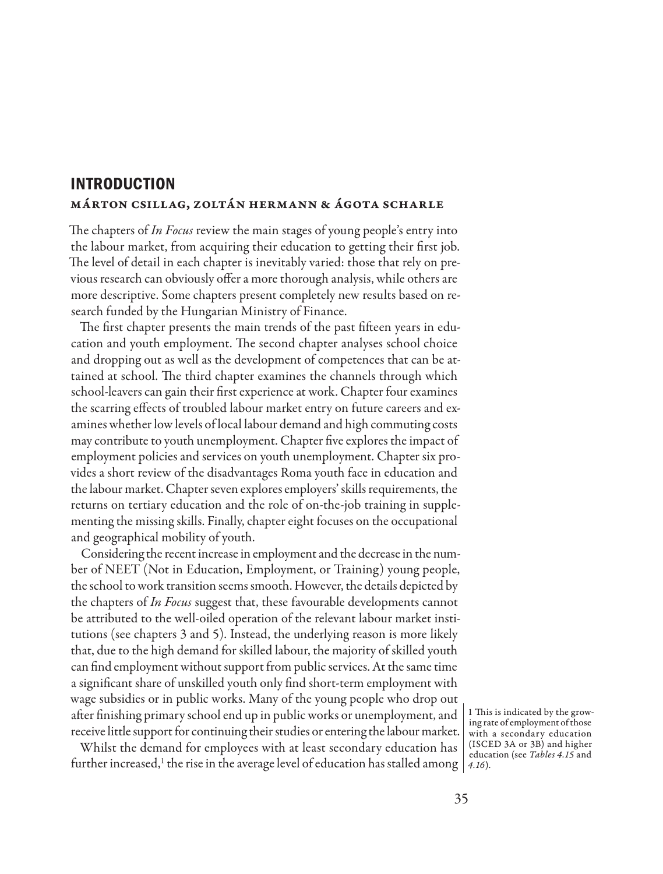## **INTRODUCTION** Márton Csillag, Zoltán Hermann & Ágota Scharle

The chapters of *In Focus* review the main stages of young people's entry into the labour market, from acquiring their education to getting their first job. The level of detail in each chapter is inevitably varied: those that rely on previous research can obviously offer a more thorough analysis, while others are more descriptive. Some chapters present completely new results based on research funded by the Hungarian Ministry of Finance.

The first chapter presents the main trends of the past fifteen years in education and youth employment. The second chapter analyses school choice and dropping out as well as the development of competences that can be attained at school. The third chapter examines the channels through which school-leavers can gain their first experience at work. Chapter four examines the scarring effects of troubled labour market entry on future careers and examines whether low levels of local labour demand and high commuting costs may contribute to youth unemployment. Chapter five explores the impact of employment policies and services on youth unemployment. Chapter six provides a short review of the disadvantages Roma youth face in education and the labour market. Chapter seven explores employers' skills requirements, the returns on tertiary education and the role of on-the-job training in supplementing the missing skills. Finally, chapter eight focuses on the occupational and geographical mobility of youth.

Considering the recent increase in employment and the decrease in the number of NEET (Not in Education, Employment, or Training) young people, the school to work transition seems smooth. However, the details depicted by the chapters of *In Focus* suggest that, these favourable developments cannot be attributed to the well-oiled operation of the relevant labour market institutions (see chapters 3 and 5). Instead, the underlying reason is more likely that, due to the high demand for skilled labour, the majority of skilled youth can find employment without support from public services. At the same time a significant share of unskilled youth only find short-term employment with wage subsidies or in public works. Many of the young people who drop out after finishing primary school end up in public works or unemployment, and receive little support for continuing their studies or entering the labour market.

Whilst the demand for employees with at least secondary education has further increased,1 the rise in the average level of education has stalled among *4.16*).

1 This is indicated by the growing rate of employment of those with a secondary education (ISCED 3A or 3B) and higher education (see *Tables 4.15* and